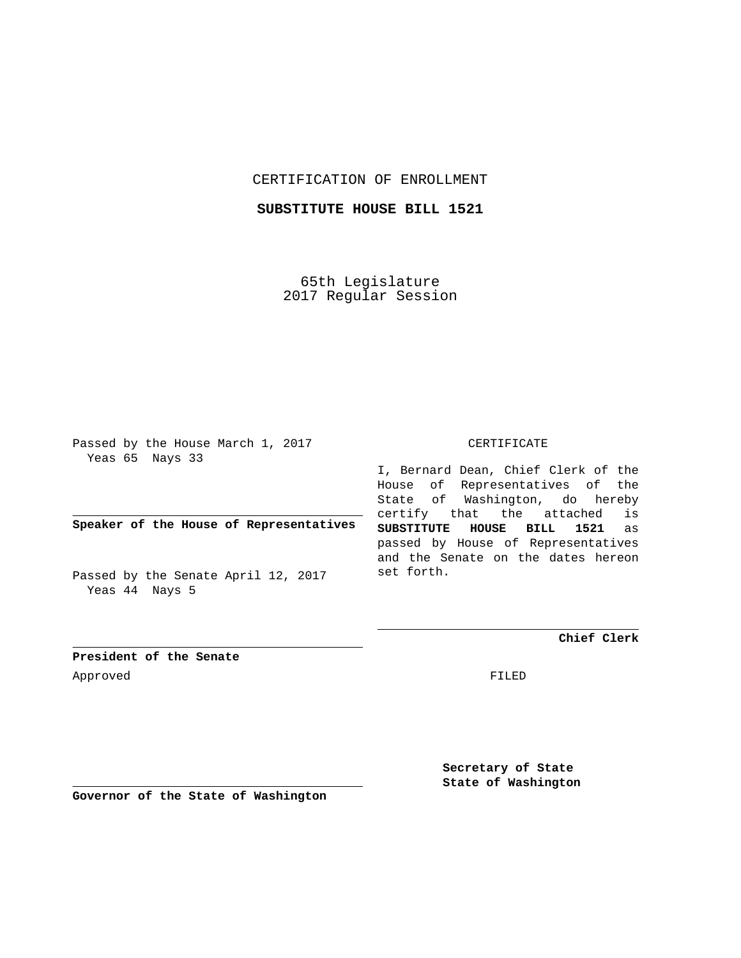## CERTIFICATION OF ENROLLMENT

# **SUBSTITUTE HOUSE BILL 1521**

65th Legislature 2017 Regular Session

Passed by the House March 1, 2017 Yeas 65 Nays 33

**Speaker of the House of Representatives**

Passed by the Senate April 12, 2017 Yeas 44 Nays 5

#### CERTIFICATE

I, Bernard Dean, Chief Clerk of the House of Representatives of the State of Washington, do hereby certify that the attached is **SUBSTITUTE HOUSE BILL 1521** as passed by House of Representatives and the Senate on the dates hereon set forth.

**Chief Clerk**

**President of the Senate** Approved FILED

**Secretary of State State of Washington**

**Governor of the State of Washington**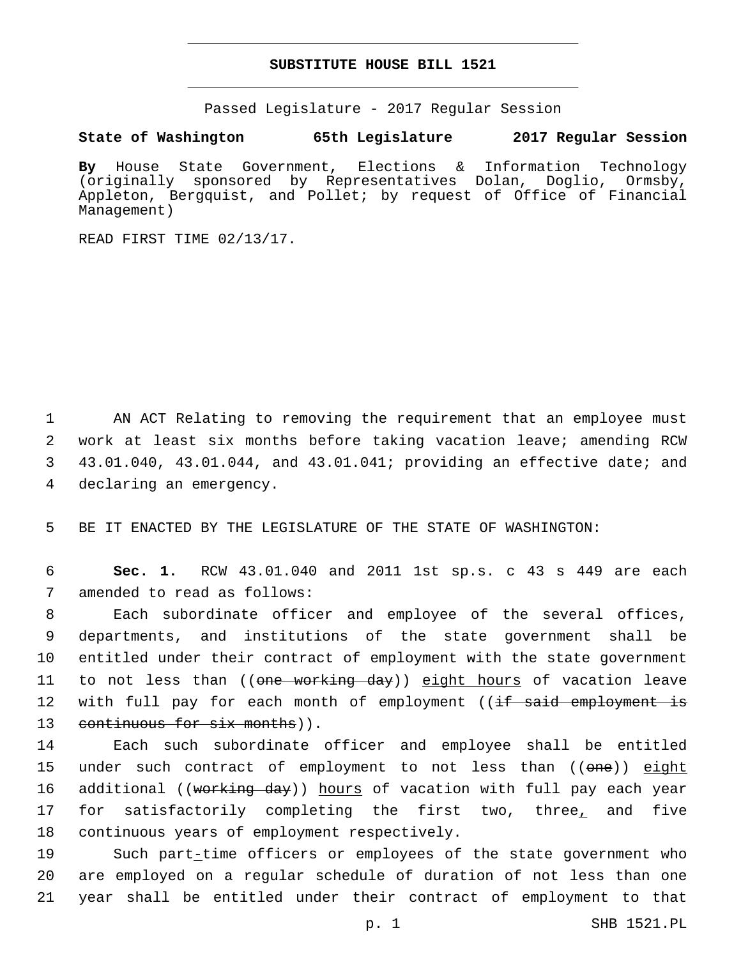### **SUBSTITUTE HOUSE BILL 1521**

Passed Legislature - 2017 Regular Session

### **State of Washington 65th Legislature 2017 Regular Session**

**By** House State Government, Elections & Information Technology (originally sponsored by Representatives Dolan, Doglio, Ormsby, Appleton, Bergquist, and Pollet; by request of Office of Financial Management)

READ FIRST TIME 02/13/17.

 AN ACT Relating to removing the requirement that an employee must work at least six months before taking vacation leave; amending RCW 43.01.040, 43.01.044, and 43.01.041; providing an effective date; and 4 declaring an emergency.

5 BE IT ENACTED BY THE LEGISLATURE OF THE STATE OF WASHINGTON:

6 **Sec. 1.** RCW 43.01.040 and 2011 1st sp.s. c 43 s 449 are each 7 amended to read as follows:

8 Each subordinate officer and employee of the several offices, 9 departments, and institutions of the state government shall be 10 entitled under their contract of employment with the state government 11 to not less than ((<del>one working day</del>)) <u>eight hours</u> of vacation leave 12 with full pay for each month of employment ((<del>if said employment is</del> 13 continuous for six months)).

14 Each such subordinate officer and employee shall be entitled 15 under such contract of employment to not less than ((one)) eight 16 additional ((<del>working day</del>)) hours of vacation with full pay each year 17 for satisfactorily completing the first two, three, and five 18 continuous years of employment respectively.

19 Such part-time officers or employees of the state government who 20 are employed on a regular schedule of duration of not less than one 21 year shall be entitled under their contract of employment to that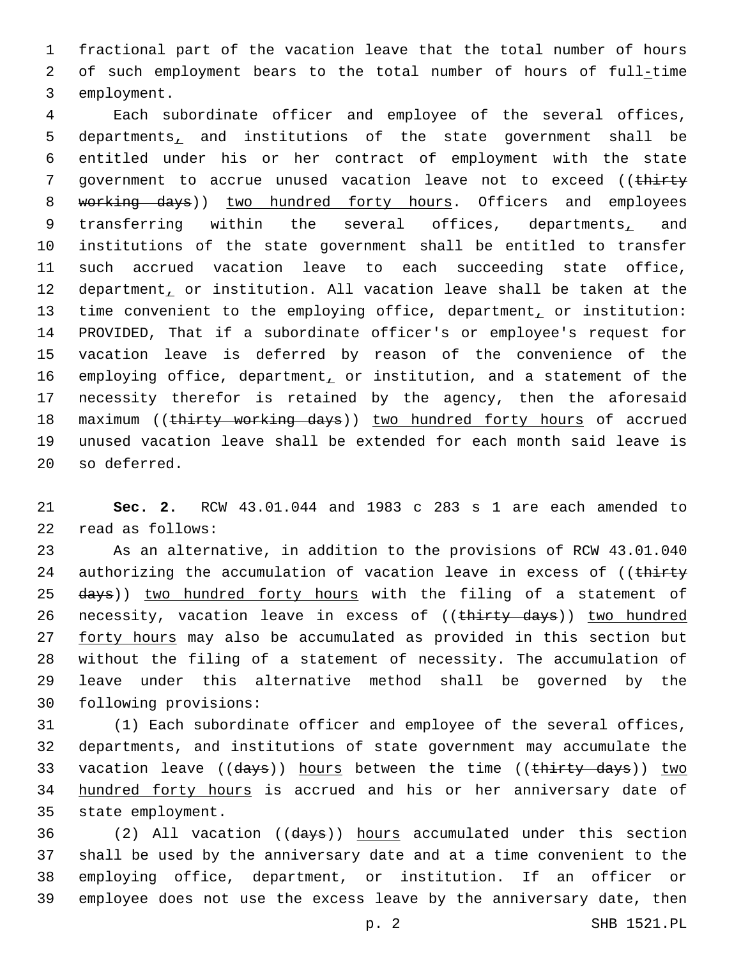1 fractional part of the vacation leave that the total number of hours 2 of such employment bears to the total number of hours of full-time 3 employment.

4 Each subordinate officer and employee of the several offices, 5 departments, and institutions of the state government shall be 6 entitled under his or her contract of employment with the state 7 government to accrue unused vacation leave not to exceed ((thirty 8 working days)) two hundred forty hours. Officers and employees 9 transferring within the several offices, departments, and 10 institutions of the state government shall be entitled to transfer 11 such accrued vacation leave to each succeeding state office, 12 department, or institution. All vacation leave shall be taken at the 13 time convenient to the employing office, department, or institution: 14 PROVIDED, That if a subordinate officer's or employee's request for 15 vacation leave is deferred by reason of the convenience of the 16 employing office, department, or institution, and a statement of the 17 necessity therefor is retained by the agency, then the aforesaid 18 maximum ((thirty working days)) two hundred forty hours of accrued 19 unused vacation leave shall be extended for each month said leave is 20 so deferred.

21 **Sec. 2.** RCW 43.01.044 and 1983 c 283 s 1 are each amended to read as follows:22

23 As an alternative, in addition to the provisions of RCW 43.01.040 24 authorizing the accumulation of vacation leave in excess of ((thirty 25 days)) two hundred forty hours with the filing of a statement of 26 necessity, vacation leave in excess of ((thirty days)) two hundred 27 forty hours may also be accumulated as provided in this section but 28 without the filing of a statement of necessity. The accumulation of 29 leave under this alternative method shall be governed by the 30 following provisions:

31 (1) Each subordinate officer and employee of the several offices, 32 departments, and institutions of state government may accumulate the 33 vacation leave ((days)) hours between the time ((thirty days)) two 34 hundred forty hours is accrued and his or her anniversary date of 35 state employment.

 (2) All vacation ((days)) hours accumulated under this section shall be used by the anniversary date and at a time convenient to the employing office, department, or institution. If an officer or employee does not use the excess leave by the anniversary date, then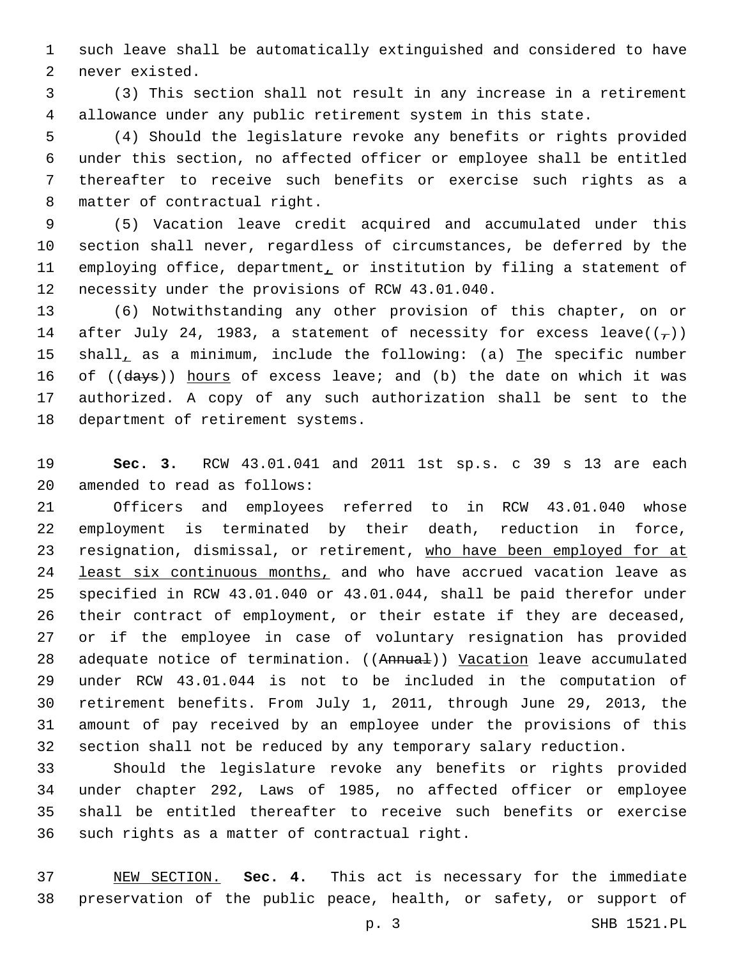such leave shall be automatically extinguished and considered to have 2 never existed.

 (3) This section shall not result in any increase in a retirement allowance under any public retirement system in this state.

 (4) Should the legislature revoke any benefits or rights provided under this section, no affected officer or employee shall be entitled thereafter to receive such benefits or exercise such rights as a 8 matter of contractual right.

 (5) Vacation leave credit acquired and accumulated under this section shall never, regardless of circumstances, be deferred by the 11 employing office, department, or institution by filing a statement of 12 necessity under the provisions of RCW 43.01.040.

 (6) Notwithstanding any other provision of this chapter, on or 14 after July 24, 1983, a statement of necessity for excess leave( $(\tau)$ ) 15 shall, as a minimum, include the following: (a) The specific number 16 of ((days)) hours of excess leave; and (b) the date on which it was authorized. A copy of any such authorization shall be sent to the 18 department of retirement systems.

 **Sec. 3.** RCW 43.01.041 and 2011 1st sp.s. c 39 s 13 are each 20 amended to read as follows:

 Officers and employees referred to in RCW 43.01.040 whose employment is terminated by their death, reduction in force, 23 resignation, dismissal, or retirement, who have been employed for at 24 least six continuous months, and who have accrued vacation leave as specified in RCW 43.01.040 or 43.01.044, shall be paid therefor under their contract of employment, or their estate if they are deceased, or if the employee in case of voluntary resignation has provided 28 adequate notice of termination. ((Annual)) Vacation leave accumulated under RCW 43.01.044 is not to be included in the computation of retirement benefits. From July 1, 2011, through June 29, 2013, the amount of pay received by an employee under the provisions of this section shall not be reduced by any temporary salary reduction.

 Should the legislature revoke any benefits or rights provided under chapter 292, Laws of 1985, no affected officer or employee shall be entitled thereafter to receive such benefits or exercise 36 such rights as a matter of contractual right.

 NEW SECTION. **Sec. 4.** This act is necessary for the immediate preservation of the public peace, health, or safety, or support of